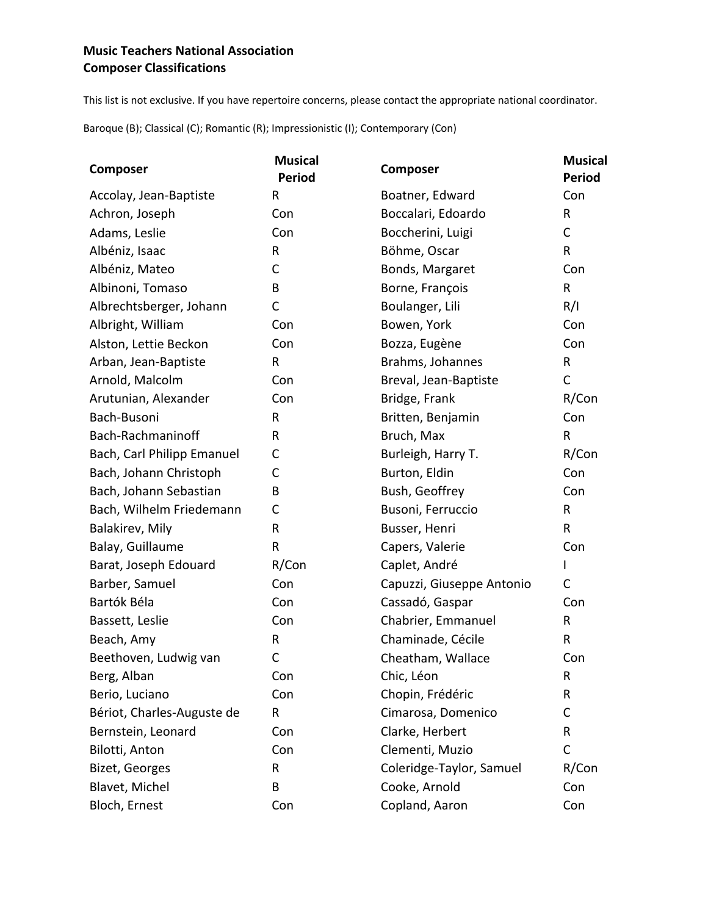## **Music Teachers National Association Composer Classifications**

This list is not exclusive. If you have repertoire concerns, please contact the appropriate national coordinator.

Baroque (B); Classical (C); Romantic (R); Impressionistic (I); Contemporary (Con)

| Composer                   | <b>Musical</b><br><b>Period</b> | Composer                  | <b>Musical</b><br><b>Period</b> |
|----------------------------|---------------------------------|---------------------------|---------------------------------|
| Accolay, Jean-Baptiste     | R                               | Boatner, Edward           | Con                             |
| Achron, Joseph             | Con                             | Boccalari, Edoardo        | R                               |
| Adams, Leslie              | Con                             | Boccherini, Luigi         | C                               |
| Albéniz, Isaac             | R                               | Böhme, Oscar              | $\mathsf{R}$                    |
| Albéniz, Mateo             | С                               | Bonds, Margaret           | Con                             |
| Albinoni, Tomaso           | B                               | Borne, François           | $\mathsf{R}$                    |
| Albrechtsberger, Johann    | C                               | Boulanger, Lili           | R/I                             |
| Albright, William          | Con                             | Bowen, York               | Con                             |
| Alston, Lettie Beckon      | Con                             | Bozza, Eugène             | Con                             |
| Arban, Jean-Baptiste       | R                               | Brahms, Johannes          | $\mathsf{R}$                    |
| Arnold, Malcolm            | Con                             | Breval, Jean-Baptiste     | $\mathsf C$                     |
| Arutunian, Alexander       | Con                             | Bridge, Frank             | R/Con                           |
| Bach-Busoni                | R                               | Britten, Benjamin         | Con                             |
| Bach-Rachmaninoff          | R                               | Bruch, Max                | R                               |
| Bach, Carl Philipp Emanuel | С                               | Burleigh, Harry T.        | R/Con                           |
| Bach, Johann Christoph     | C                               | Burton, Eldin             | Con                             |
| Bach, Johann Sebastian     | B                               | Bush, Geoffrey            | Con                             |
| Bach, Wilhelm Friedemann   | С                               | Busoni, Ferruccio         | R                               |
| Balakirev, Mily            | R                               | Busser, Henri             | $\mathsf{R}$                    |
| Balay, Guillaume           | R                               | Capers, Valerie           | Con                             |
| Barat, Joseph Edouard      | R/Con                           | Caplet, André             | L                               |
| Barber, Samuel             | Con                             | Capuzzi, Giuseppe Antonio | $\mathsf C$                     |
| Bartók Béla                | Con                             | Cassadó, Gaspar           | Con                             |
| Bassett, Leslie            | Con                             | Chabrier, Emmanuel        | R                               |
| Beach, Amy                 | R                               | Chaminade, Cécile         | R                               |
| Beethoven, Ludwig van      | С                               | Cheatham, Wallace         | Con                             |
| Berg, Alban                | Con                             | Chic, Léon                | R                               |
| Berio, Luciano             | Con                             | Chopin, Frédéric          | R                               |
| Bériot, Charles-Auguste de | R                               | Cimarosa, Domenico        | С                               |
| Bernstein, Leonard         | Con                             | Clarke, Herbert           | R                               |
| Bilotti, Anton             | Con                             | Clementi, Muzio           | $\mathsf C$                     |
| Bizet, Georges             | R                               | Coleridge-Taylor, Samuel  | R/Con                           |
| Blavet, Michel             | В                               | Cooke, Arnold             | Con                             |
| Bloch, Ernest              | Con                             | Copland, Aaron            | Con                             |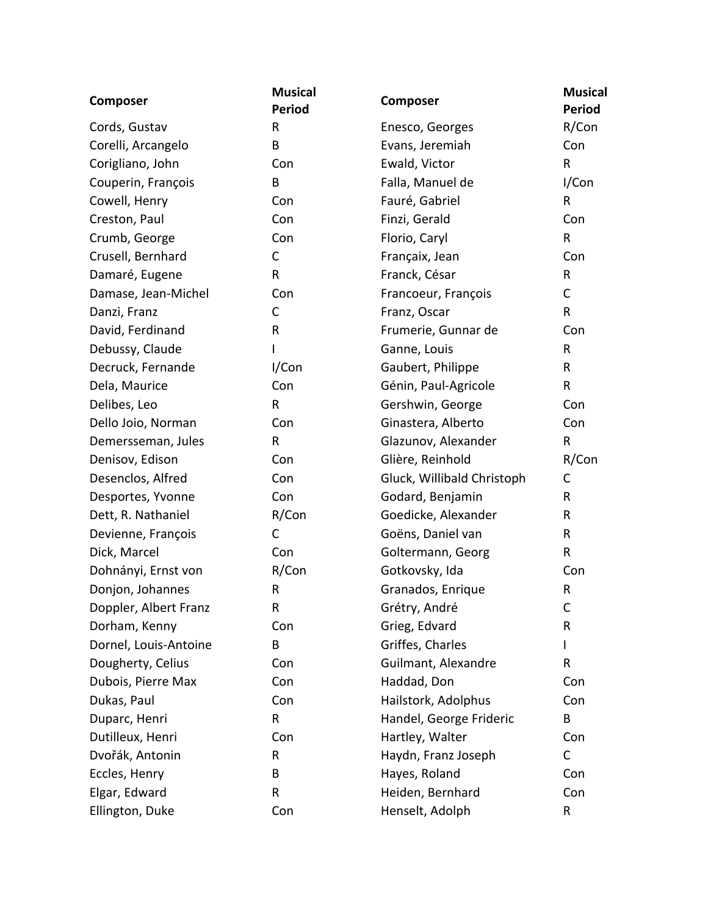| <b>Composer</b>       | <b>Musical</b><br><b>Period</b> | Composer                   | <b>Musical</b><br><b>Period</b> |
|-----------------------|---------------------------------|----------------------------|---------------------------------|
| Cords, Gustav         | R                               | Enesco, Georges            | R/Con                           |
| Corelli, Arcangelo    | B                               | Evans, Jeremiah            | Con                             |
| Corigliano, John      | Con                             | Ewald, Victor              | $\mathsf{R}$                    |
| Couperin, François    | B                               | Falla, Manuel de           | I/Con                           |
| Cowell, Henry         | Con                             | Fauré, Gabriel             | R                               |
| Creston, Paul         | Con                             | Finzi, Gerald              | Con                             |
| Crumb, George         | Con                             | Florio, Caryl              | $\mathsf R$                     |
| Crusell, Bernhard     | C                               | Françaix, Jean             | Con                             |
| Damaré, Eugene        | R                               | Franck, César              | $\mathsf{R}$                    |
| Damase, Jean-Michel   | Con                             | Francoeur, François        | C                               |
| Danzi, Franz          | $\mathsf{C}$                    | Franz, Oscar               | $\mathsf{R}$                    |
| David, Ferdinand      | R                               | Frumerie, Gunnar de        | Con                             |
| Debussy, Claude       |                                 | Ganne, Louis               | $\mathsf{R}$                    |
| Decruck, Fernande     | I/Con                           | Gaubert, Philippe          | R                               |
| Dela, Maurice         | Con                             | Génin, Paul-Agricole       | $\mathsf{R}$                    |
| Delibes, Leo          | $\mathsf{R}$                    | Gershwin, George           | Con                             |
| Dello Joio, Norman    | Con                             | Ginastera, Alberto         | Con                             |
| Demersseman, Jules    | R                               | Glazunov, Alexander        | R                               |
| Denisov, Edison       | Con                             | Glière, Reinhold           | R/Con                           |
| Desenclos, Alfred     | Con                             | Gluck, Willibald Christoph | $\mathsf C$                     |
| Desportes, Yvonne     | Con                             | Godard, Benjamin           | R                               |
| Dett, R. Nathaniel    | R/Con                           | Goedicke, Alexander        | R                               |
| Devienne, François    | $\mathsf C$                     | Goëns, Daniel van          | R                               |
| Dick, Marcel          | Con                             | Goltermann, Georg          | $\mathsf{R}$                    |
| Dohnányi, Ernst von   | R/Con                           | Gotkovsky, Ida             | Con                             |
| Donjon, Johannes      | R                               | Granados, Enrique          | R                               |
| Doppler, Albert Franz | R                               | Grétry, André              | C                               |
| Dorham, Kenny         | Con                             | Grieg, Edvard              | R                               |
| Dornel, Louis-Antoine | B                               | Griffes, Charles           |                                 |
| Dougherty, Celius     | Con                             | Guilmant, Alexandre        | R                               |
| Dubois, Pierre Max    | Con                             | Haddad, Don                | Con                             |
| Dukas, Paul           | Con                             | Hailstork, Adolphus        | Con                             |
| Duparc, Henri         | R                               | Handel, George Frideric    | B                               |
| Dutilleux, Henri      | Con                             | Hartley, Walter            | Con                             |
| Dvořák, Antonin       | R                               | Haydn, Franz Joseph        | C                               |
| Eccles, Henry         | B                               | Hayes, Roland              | Con                             |
| Elgar, Edward         | R                               | Heiden, Bernhard           | Con                             |
| Ellington, Duke       | Con                             | Henselt, Adolph            | R                               |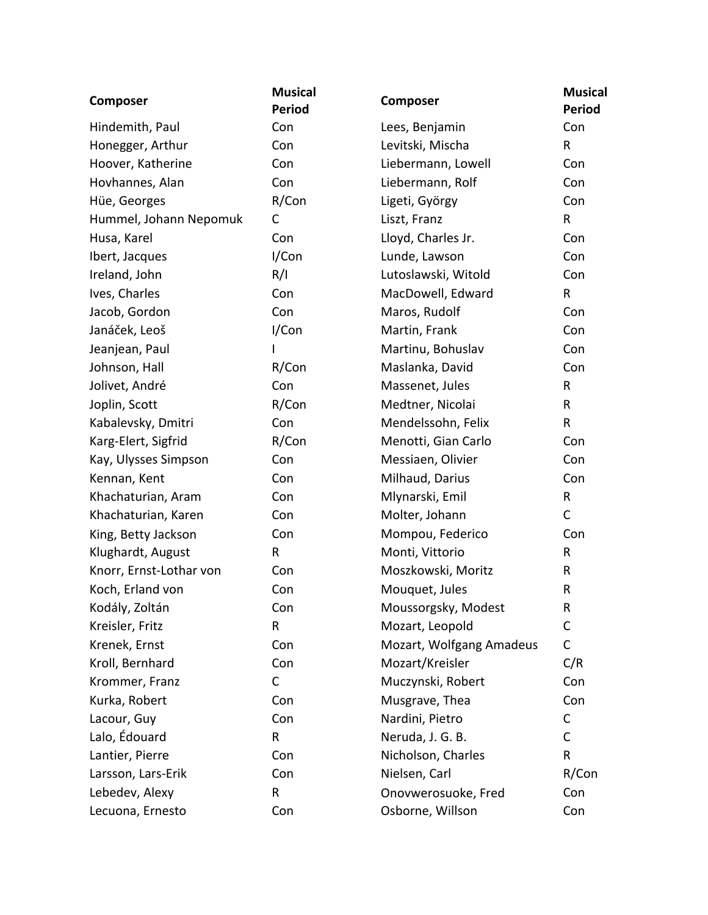| Composer                | <b>Musical</b><br><b>Period</b> | Composer                 | <b>Musical</b><br><b>Period</b> |
|-------------------------|---------------------------------|--------------------------|---------------------------------|
| Hindemith, Paul         | Con                             | Lees, Benjamin           | Con                             |
| Honegger, Arthur        | Con                             | Levitski, Mischa         | R                               |
| Hoover, Katherine       | Con                             | Liebermann, Lowell       | Con                             |
| Hovhannes, Alan         | Con                             | Liebermann, Rolf         | Con                             |
| Hüe, Georges            | R/Con                           | Ligeti, György           | Con                             |
| Hummel, Johann Nepomuk  | C                               | Liszt, Franz             | $\mathsf{R}$                    |
| Husa, Karel             | Con                             | Lloyd, Charles Jr.       | Con                             |
| Ibert, Jacques          | I/Con                           | Lunde, Lawson            | Con                             |
| Ireland, John           | R/I                             | Lutoslawski, Witold      | Con                             |
| Ives, Charles           | Con                             | MacDowell, Edward        | $\mathsf R$                     |
| Jacob, Gordon           | Con                             | Maros, Rudolf            | Con                             |
| Janáček, Leoš           | I/Con                           | Martin, Frank            | Con                             |
| Jeanjean, Paul          |                                 | Martinu, Bohuslav        | Con                             |
| Johnson, Hall           | R/Con                           | Maslanka, David          | Con                             |
| Jolivet, André          | Con                             | Massenet, Jules          | $\mathsf{R}$                    |
| Joplin, Scott           | R/Con                           | Medtner, Nicolai         | R                               |
| Kabalevsky, Dmitri      | Con                             | Mendelssohn, Felix       | $\mathsf{R}$                    |
| Karg-Elert, Sigfrid     | R/Con                           | Menotti, Gian Carlo      | Con                             |
| Kay, Ulysses Simpson    | Con                             | Messiaen, Olivier        | Con                             |
| Kennan, Kent            | Con                             | Milhaud, Darius          | Con                             |
| Khachaturian, Aram      | Con                             | Mlynarski, Emil          | $\mathsf R$                     |
| Khachaturian, Karen     | Con                             | Molter, Johann           | $\mathsf C$                     |
| King, Betty Jackson     | Con                             | Mompou, Federico         | Con                             |
| Klughardt, August       | R                               | Monti, Vittorio          | $\mathsf{R}$                    |
| Knorr, Ernst-Lothar von | Con                             | Moszkowski, Moritz       | R                               |
| Koch, Erland von        | Con                             | Mouquet, Jules           | R                               |
| Kodály, Zoltán          | Con                             | Moussorgsky, Modest      | R.                              |
| Kreisler, Fritz         | $\mathsf{R}$                    | Mozart, Leopold          | $\mathsf C$                     |
| Krenek, Ernst           | Con                             | Mozart, Wolfgang Amadeus | $\mathsf C$                     |
| Kroll, Bernhard         | Con                             | Mozart/Kreisler          | C/R                             |
| Krommer, Franz          | $\mathsf{C}$                    | Muczynski, Robert        | Con                             |
| Kurka, Robert           | Con                             | Musgrave, Thea           | Con                             |
| Lacour, Guy             | Con                             | Nardini, Pietro          | C                               |
| Lalo, Édouard           | R                               | Neruda, J. G. B.         | C                               |
| Lantier, Pierre         | Con                             | Nicholson, Charles       | R                               |
| Larsson, Lars-Erik      | Con                             | Nielsen, Carl            | R/Con                           |
| Lebedev, Alexy          | R                               | Onovwerosuoke, Fred      | Con                             |
| Lecuona, Ernesto        | Con                             | Osborne, Willson         | Con                             |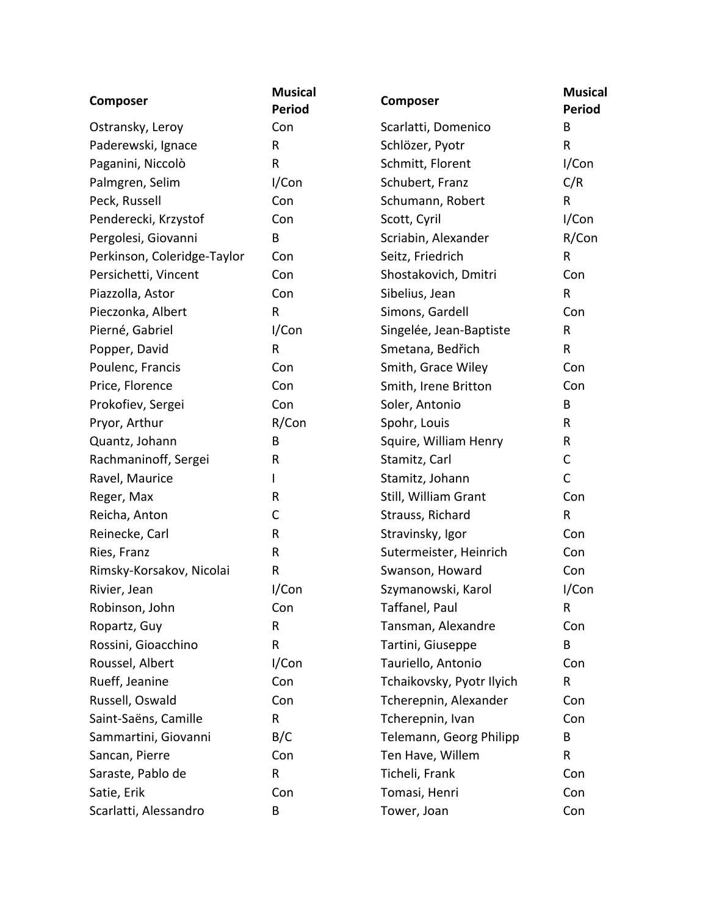| <b>Composer</b>             | <b>Musical</b><br><b>Period</b> | Composer                  | <b>Musical</b><br><b>Period</b> |
|-----------------------------|---------------------------------|---------------------------|---------------------------------|
| Ostransky, Leroy            | Con                             | Scarlatti, Domenico       | B                               |
| Paderewski, Ignace          | R                               | Schlözer, Pyotr           | R                               |
| Paganini, Niccolò           | R                               | Schmitt, Florent          | I/Con                           |
| Palmgren, Selim             | I/Con                           | Schubert, Franz           | C/R                             |
| Peck, Russell               | Con                             | Schumann, Robert          | $\mathsf{R}$                    |
| Penderecki, Krzystof        | Con                             | Scott, Cyril              | I/Con                           |
| Pergolesi, Giovanni         | В                               | Scriabin, Alexander       | R/Con                           |
| Perkinson, Coleridge-Taylor | Con                             | Seitz, Friedrich          | R                               |
| Persichetti, Vincent        | Con                             | Shostakovich, Dmitri      | Con                             |
| Piazzolla, Astor            | Con                             | Sibelius, Jean            | $\sf R$                         |
| Pieczonka, Albert           | R                               | Simons, Gardell           | Con                             |
| Pierné, Gabriel             | I/Con                           | Singelée, Jean-Baptiste   | $\mathsf{R}$                    |
| Popper, David               | R                               | Smetana, Bedřich          | $\mathsf{R}$                    |
| Poulenc, Francis            | Con                             | Smith, Grace Wiley        | Con                             |
| Price, Florence             | Con                             | Smith, Irene Britton      | Con                             |
| Prokofiev, Sergei           | Con                             | Soler, Antonio            | B                               |
| Pryor, Arthur               | R/Con                           | Spohr, Louis              | R                               |
| Quantz, Johann              | B                               | Squire, William Henry     | R                               |
| Rachmaninoff, Sergei        | R                               | Stamitz, Carl             | $\mathsf C$                     |
| Ravel, Maurice              | L                               | Stamitz, Johann           | $\mathsf C$                     |
| Reger, Max                  | R                               | Still, William Grant      | Con                             |
| Reicha, Anton               | C                               | Strauss, Richard          | $\mathsf R$                     |
| Reinecke, Carl              | R                               | Stravinsky, Igor          | Con                             |
| Ries, Franz                 | R                               | Sutermeister, Heinrich    | Con                             |
| Rimsky-Korsakov, Nicolai    | R                               | Swanson, Howard           | Con                             |
| Rivier, Jean                | I/Con                           | Szymanowski, Karol        | I/Con                           |
| Robinson, John              | Con                             | Taffanel, Paul            | R                               |
| Ropartz, Guy                | R                               | Tansman, Alexandre        | Con                             |
| Rossini, Gioacchino         | R                               | Tartini, Giuseppe         | B                               |
| Roussel, Albert             | I/Con                           | Tauriello, Antonio        | Con                             |
| Rueff, Jeanine              | Con                             | Tchaikovsky, Pyotr Ilyich | R                               |
| Russell, Oswald             | Con                             | Tcherepnin, Alexander     | Con                             |
| Saint-Saëns, Camille        | R                               | Tcherepnin, Ivan          | Con                             |
| Sammartini, Giovanni        | B/C                             | Telemann, Georg Philipp   | В                               |
| Sancan, Pierre              | Con                             | Ten Have, Willem          | R                               |
| Saraste, Pablo de           | R                               | Ticheli, Frank            | Con                             |
| Satie, Erik                 | Con                             | Tomasi, Henri             | Con                             |
| Scarlatti, Alessandro       | B                               | Tower, Joan               | Con                             |